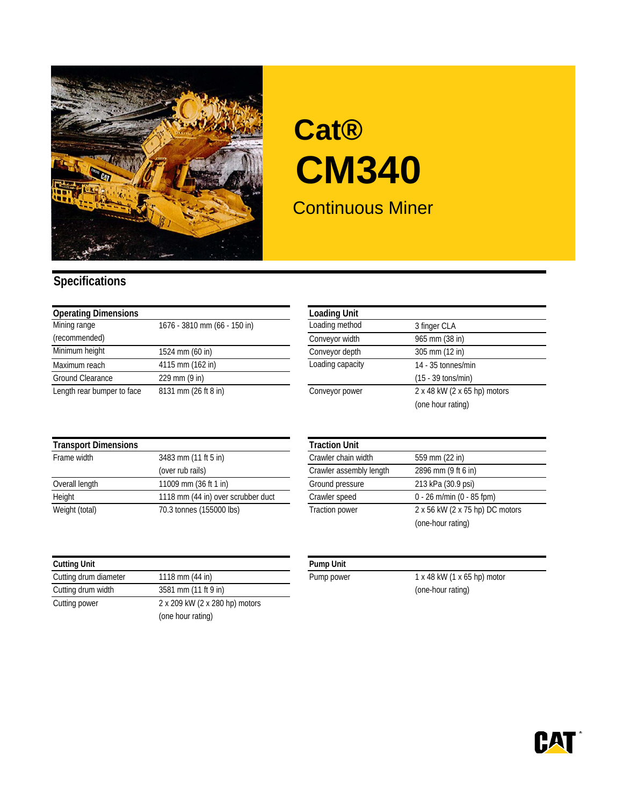

## Continuous Miner **Cat® CM340**

## **Specifications**

| <b>Operating Dimensions</b> |                              | <b>Loading Unit</b> |                              |
|-----------------------------|------------------------------|---------------------|------------------------------|
| Mining range                | 1676 - 3810 mm (66 - 150 in) | Loading method      | 3 finger CLA                 |
| (recommended)               |                              | Conveyor width      | 965 mm (38 in)               |
| Minimum height              | 1524 mm (60 in)              | Conveyor depth      | 305 mm (12 in)               |
| Maximum reach               | 4115 mm (162 in)             | Loading capacity    | 14 - 35 tonnes/min           |
| Ground Clearance            | $229$ mm $(9$ in)            |                     | $(15 - 39 \text{ tons/min})$ |
| Length rear bumper to face  | 8131 mm (26 ft 8 in)         | Conveyor power      | 2 x 48 kW (2 x 65 hp) motors |

| <b>Loading Unit</b> |                              |
|---------------------|------------------------------|
| Loading method      | 3 finger CLA                 |
| Conveyor width      | 965 mm (38 in)               |
| Conveyor depth      | 305 mm (12 in)               |
| Loading capacity    | 14 - 35 tonnes/min           |
|                     | $(15 - 39 \text{ tons/min})$ |
| Conveyor power      | 2 x 48 kW (2 x 65 hp) motors |
|                     | (one hour rating)            |

| <b>Transport Dimensions</b> |                                    | <b>Traction Unit</b>    |                                 |
|-----------------------------|------------------------------------|-------------------------|---------------------------------|
| Frame width                 | 3483 mm (11 ft 5 in)               | Crawler chain width     | 559 mm (22 in)                  |
|                             | (over rub rails)                   | Crawler assembly length | 2896 mm (9 ft 6 in)             |
| Overall length              | 11009 mm (36 ft 1 in)              | Ground pressure         | 213 kPa (30.9 psi)              |
| Height                      | 1118 mm (44 in) over scrubber duct | Crawler speed           | $0 - 26$ m/min (0 - 85 fpm)     |
| Weight (total)              | 70.3 tonnes (155000 lbs)           | <b>Traction power</b>   | 2 x 56 kW (2 x 75 hp) DC motors |

| <b>Cutting Unit</b>   |                                | <b>Pump Unit</b> |
|-----------------------|--------------------------------|------------------|
| Cutting drum diameter | 1118 mm (44 in)                | Pump powe        |
| Cutting drum width    | 3581 mm (11 ft 9 in)           |                  |
| Cutting power         | 2 x 209 kW (2 x 280 hp) motors |                  |
|                       | (one hour rating)              |                  |

|                                    | <b>Traction Unit</b>    |                                 |
|------------------------------------|-------------------------|---------------------------------|
| 3483 mm (11 ft 5 in)               | Crawler chain width     | 559 mm (22 in)                  |
| (over rub rails)                   | Crawler assembly length | 2896 mm (9 ft 6 in)             |
| 11009 mm (36 ft 1 in)              | Ground pressure         | 213 kPa (30.9 psi)              |
| 1118 mm (44 in) over scrubber duct | Crawler speed           | $0 - 26$ m/min (0 - 85 fpm)     |
| 70.3 tonnes (155000 lbs)           | <b>Traction power</b>   | 2 x 56 kW (2 x 75 hp) DC motors |
|                                    |                         | (one-hour rating)               |

| lmo | ш<br>mı |
|-----|---------|
|-----|---------|

Pump power 1 x 48 kW (1 x 65 hp) motor (one-hour rating)

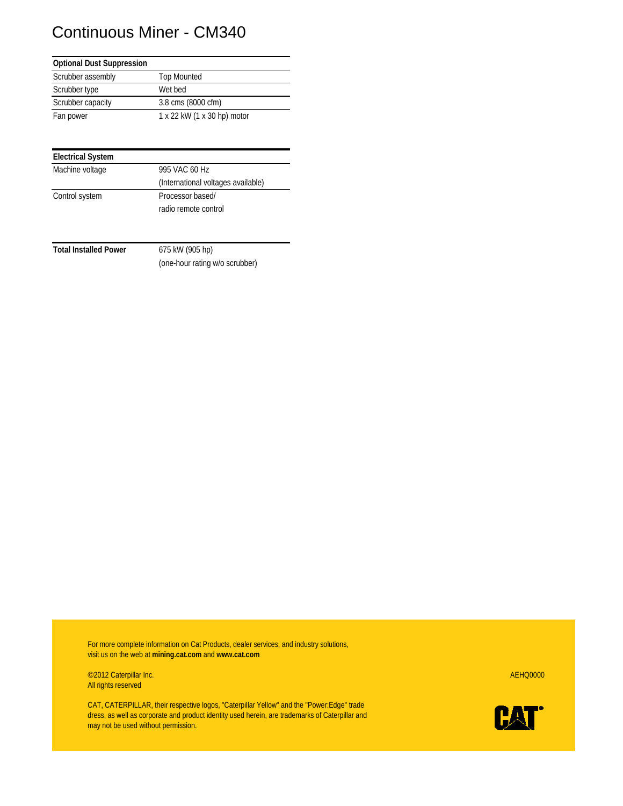## Continuous Miner - CM340

| <b>Optional Dust Suppression</b> |                             |
|----------------------------------|-----------------------------|
| Scrubber assembly                | <b>Top Mounted</b>          |
| Scrubber type                    | Wet bed                     |
| Scrubber capacity                | 3.8 cms (8000 cfm)          |
| Fan power                        | 1 x 22 kW (1 x 30 hp) motor |

| <b>Electrical System</b> |                                    |
|--------------------------|------------------------------------|
| Machine voltage          | 995 VAC 60 Hz                      |
|                          | (International voltages available) |
| Control system           | Processor based/                   |
|                          | radio remote control               |

**Total Installed Power** 675 kW (905 hp)

(one-hour rating w/o scrubber)

For more complete information on Cat Products, dealer services, and industry solutions, visit us on the web at **mining.cat.com** and **www.cat.com**

©2012 Caterpillar Inc. AEHQ0000 All rights reserved

CAT, CATERPILLAR, their respective logos, "Caterpillar Yellow" and the "Power:Edge" trade dress, as well as corporate and product identity used herein, are trademarks of Caterpillar and may not be used without permission.